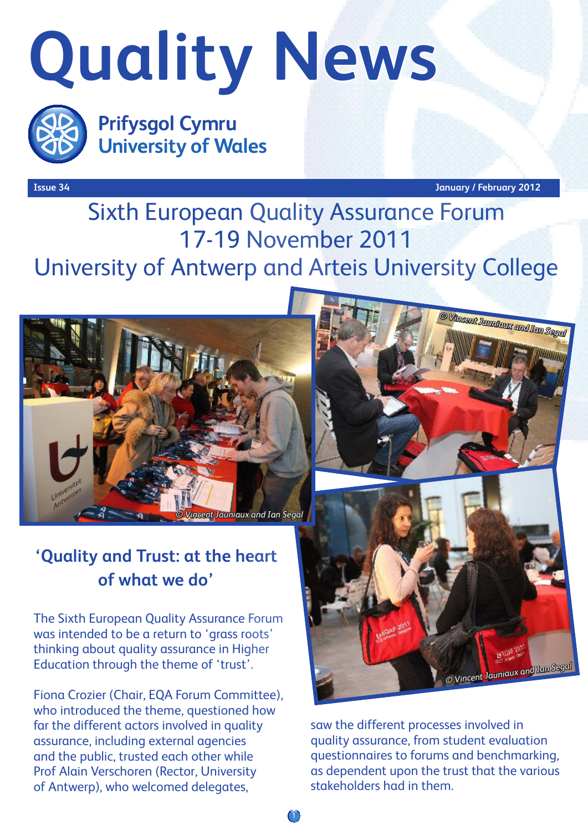# **Quality News**



**Prifysgol Cymru University of Wales** 

**Issue 34 January / February 2012**

## Sixth European Quality Assurance Forum 17-19 November 2011 University of Antwerp and Arteis University College

1



#### **'Quality and Trust: at the heart of what we do'**

The Sixth European Quality Assurance Forum was intended to be a return to 'grass roots' thinking about quality assurance in Higher Education through the theme of 'trust'.

Fiona Crozier (Chair, EQA Forum Committee), who introduced the theme, questioned how far the different actors involved in quality assurance, including external agencies and the public, trusted each other while Prof Alain Verschoren (Rector, University of Antwerp), who welcomed delegates,



saw the different processes involved in quality assurance, from student evaluation questionnaires to forums and benchmarking, as dependent upon the trust that the various stakeholders had in them.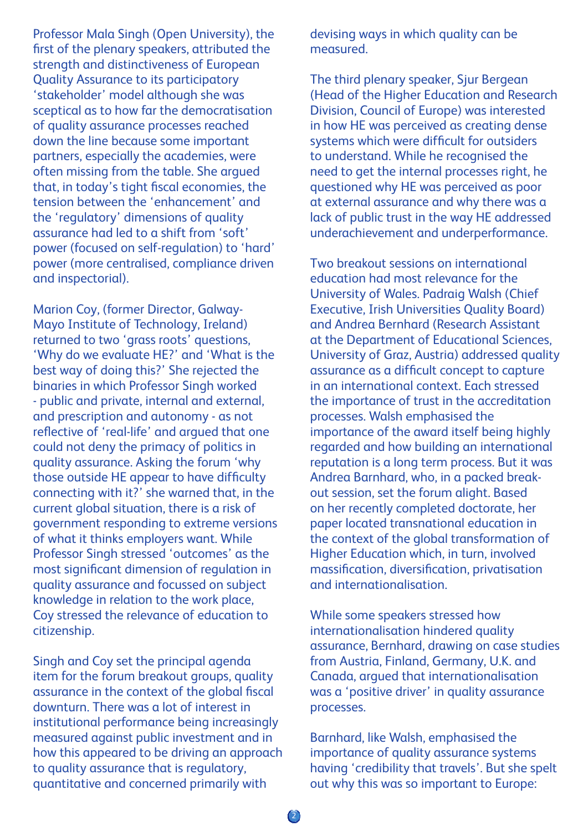Professor Mala Singh (Open University), the first of the plenary speakers, attributed the strength and distinctiveness of European Quality Assurance to its participatory 'stakeholder' model although she was sceptical as to how far the democratisation of quality assurance processes reached down the line because some important partners, especially the academies, were often missing from the table. She argued that, in today's tight fiscal economies, the tension between the 'enhancement' and the 'regulatory' dimensions of quality assurance had led to a shift from 'soft' power (focused on self-regulation) to 'hard' power (more centralised, compliance driven and inspectorial).

Marion Coy, (former Director, Galway-Mayo Institute of Technology, Ireland) returned to two 'grass roots' questions, 'Why do we evaluate HE?' and 'What is the best way of doing this?' She rejected the binaries in which Professor Singh worked - public and private, internal and external, and prescription and autonomy - as not reflective of 'real-life' and argued that one could not deny the primacy of politics in quality assurance. Asking the forum 'why those outside HE appear to have difficulty connecting with it?' she warned that, in the current global situation, there is a risk of government responding to extreme versions of what it thinks employers want. While Professor Singh stressed 'outcomes' as the most significant dimension of regulation in quality assurance and focussed on subject knowledge in relation to the work place, Coy stressed the relevance of education to citizenship.

Singh and Coy set the principal agenda item for the forum breakout groups, quality assurance in the context of the global fiscal downturn. There was a lot of interest in institutional performance being increasingly measured against public investment and in how this appeared to be driving an approach to quality assurance that is regulatory, quantitative and concerned primarily with

devising ways in which quality can be measured.

The third plenary speaker, Sjur Bergean (Head of the Higher Education and Research Division, Council of Europe) was interested in how HE was perceived as creating dense systems which were difficult for outsiders to understand. While he recognised the need to get the internal processes right, he questioned why HE was perceived as poor at external assurance and why there was a lack of public trust in the way HE addressed underachievement and underperformance.

Two breakout sessions on international education had most relevance for the University of Wales. Padraig Walsh (Chief Executive, Irish Universities Quality Board) and Andrea Bernhard (Research Assistant at the Department of Educational Sciences, University of Graz, Austria) addressed quality assurance as a difficult concept to capture in an international context. Each stressed the importance of trust in the accreditation processes. Walsh emphasised the importance of the award itself being highly regarded and how building an international reputation is a long term process. But it was Andrea Barnhard, who, in a packed breakout session, set the forum alight. Based on her recently completed doctorate, her paper located transnational education in the context of the global transformation of Higher Education which, in turn, involved massification, diversification, privatisation and internationalisation.

While some speakers stressed how internationalisation hindered quality assurance, Bernhard, drawing on case studies from Austria, Finland, Germany, U.K. and Canada, argued that internationalisation was a 'positive driver' in quality assurance processes.

Barnhard, like Walsh, emphasised the importance of quality assurance systems having 'credibility that travels'. But she spelt out why this was so important to Europe: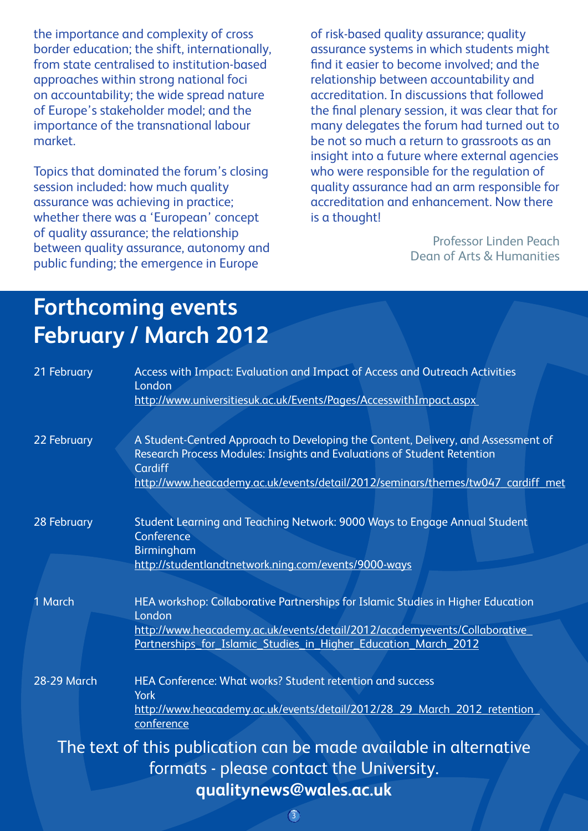the importance and complexity of cross border education; the shift, internationally, from state centralised to institution-based approaches within strong national foci on accountability; the wide spread nature of Europe's stakeholder model; and the importance of the transnational labour market.

Topics that dominated the forum's closing session included: how much quality assurance was achieving in practice; whether there was a 'European' concept of quality assurance; the relationship between quality assurance, autonomy and public funding; the emergence in Europe

of risk-based quality assurance; quality assurance systems in which students might find it easier to become involved; and the relationship between accountability and accreditation. In discussions that followed the final plenary session, it was clear that for many delegates the forum had turned out to be not so much a return to grassroots as an insight into a future where external agencies who were responsible for the regulation of quality assurance had an arm responsible for accreditation and enhancement. Now there is a thought!

> Professor Linden Peach Dean of Arts & Humanities

### **Forthcoming events February / March 2012**

| 21 February                                                                                                   | Access with Impact: Evaluation and Impact of Access and Outreach Activities<br>London<br>http://www.universitiesuk.ac.uk/Events/Pages/AccesswithImpact.aspx                                                                                                |
|---------------------------------------------------------------------------------------------------------------|------------------------------------------------------------------------------------------------------------------------------------------------------------------------------------------------------------------------------------------------------------|
| 22 February                                                                                                   | A Student-Centred Approach to Developing the Content, Delivery, and Assessment of<br>Research Process Modules: Insights and Evaluations of Student Retention<br>Cardiff<br>http://www.heacademy.ac.uk/events/detail/2012/seminars/themes/tw047_cardiff_met |
| 28 February                                                                                                   | Student Learning and Teaching Network: 9000 Ways to Engage Annual Student<br>Conference<br><b>Birmingham</b><br>http://studentlandtnetwork.ning.com/events/9000-ways                                                                                       |
| 1 March                                                                                                       | HEA workshop: Collaborative Partnerships for Islamic Studies in Higher Education<br>London<br>http://www.heacademy.ac.uk/events/detail/2012/academyevents/Collaborative<br>Partnerships for Islamic Studies in Higher Education March 2012                 |
| <b>28-29 March</b>                                                                                            | <b>HEA Conference: What works? Student retention and success</b><br><b>York</b><br>http://www.heacademy.ac.uk/events/detail/2012/28 29 March 2012 retention<br>conference                                                                                  |
| The text of this publication can be made available in alternative<br>formats - please contact the University. |                                                                                                                                                                                                                                                            |
| qualitynews@wales.ac.uk                                                                                       |                                                                                                                                                                                                                                                            |